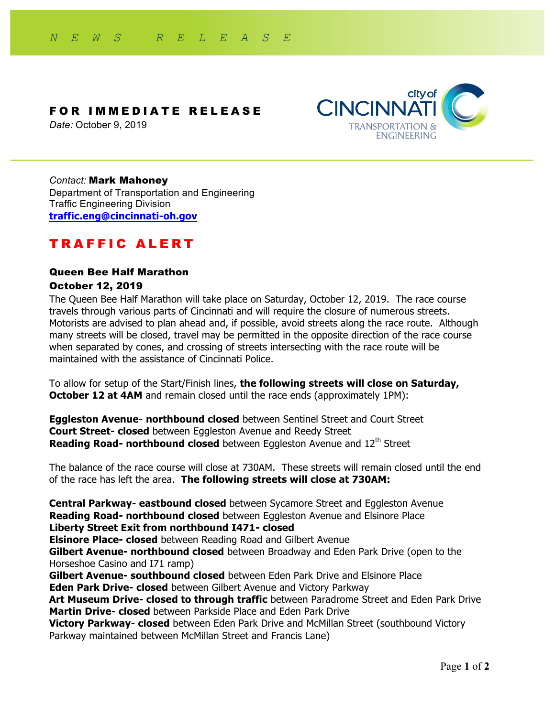

*Date:* October 9, 2019



#### *Contact:* Mark Mahoney

Department of Transportation and Engineering Traffic Engineering Division **traffic.eng@cincinnati-oh.gov**

# TRAFFIC ALERT

# Queen Bee Half Marathon October 12, 2019

The Queen Bee Half Marathon will take place on Saturday, October 12, 2019. The race course travels through various parts of Cincinnati and will require the closure of numerous streets. Motorists are advised to plan ahead and, if possible, avoid streets along the race route. Although many streets will be closed, travel may be permitted in the opposite direction of the race course when separated by cones, and crossing of streets intersecting with the race route will be maintained with the assistance of Cincinnati Police.

To allow for setup of the Start/Finish lines, **the following streets will close on Saturday, October 12 at 4AM** and remain closed until the race ends (approximately 1PM):

**Eggleston Avenue- northbound closed** between Sentinel Street and Court Street **Court Street- closed** between Eggleston Avenue and Reedy Street **Reading Road- northbound closed** between Eggleston Avenue and 12<sup>th</sup> Street

The balance of the race course will close at 730AM. These streets will remain closed until the end of the race has left the area. **The following streets will close at 730AM:**

**Central Parkway- eastbound closed** between Sycamore Street and Eggleston Avenue **Reading Road- northbound closed** between Eggleston Avenue and Elsinore Place **Liberty Street Exit from northbound I471- closed**

**Elsinore Place- closed** between Reading Road and Gilbert Avenue

**Gilbert Avenue- northbound closed** between Broadway and Eden Park Drive (open to the Horseshoe Casino and I71 ramp)

**Gilbert Avenue- southbound closed** between Eden Park Drive and Elsinore Place

**Eden Park Drive- closed** between Gilbert Avenue and Victory Parkway

**Art Museum Drive- closed to through traffic** between Paradrome Street and Eden Park Drive **Martin Drive- closed** between Parkside Place and Eden Park Drive

**Victory Parkway- closed** between Eden Park Drive and McMillan Street (southbound Victory Parkway maintained between McMillan Street and Francis Lane)